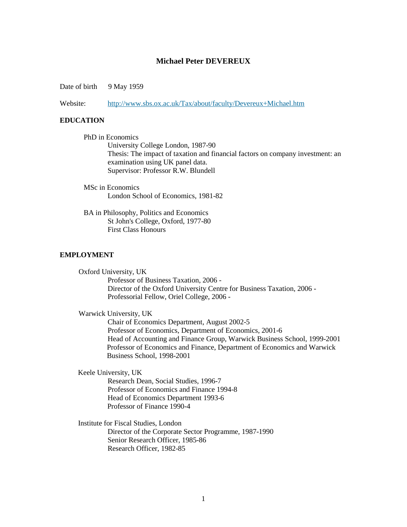## **Michael Peter DEVEREUX**

Date of birth 9 May 1959

Website: <http://www.sbs.ox.ac.uk/Tax/about/faculty/Devereux+Michael.htm>

## **EDUCATION**

PhD in Economics University College London, 1987-90 Thesis: The impact of taxation and financial factors on company investment: an examination using UK panel data. Supervisor: Professor R.W. Blundell

- MSc in Economics London School of Economics, 1981-82
- BA in Philosophy, Politics and Economics St John's College, Oxford, 1977-80 First Class Honours

### **EMPLOYMENT**

Oxford University, UK Professor of Business Taxation, 2006 - Director of the Oxford University Centre for Business Taxation, 2006 - Professorial Fellow, Oriel College, 2006 -

Warwick University, UK

Chair of Economics Department, August 2002-5 Professor of Economics, Department of Economics, 2001-6 Head of Accounting and Finance Group, Warwick Business School, 1999-2001 Professor of Economics and Finance, Department of Economics and Warwick Business School, 1998-2001

Keele University, UK

Research Dean, Social Studies, 1996-7 Professor of Economics and Finance 1994-8 Head of Economics Department 1993-6 Professor of Finance 1990-4

 Institute for Fiscal Studies, London Director of the Corporate Sector Programme, 1987-1990 Senior Research Officer, 1985-86 Research Officer, 1982-85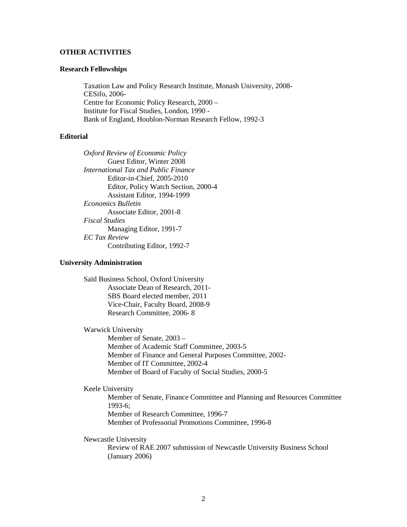### **OTHER ACTIVITIES**

## **Research Fellowships**

Taxation Law and Policy Research Institute, Monash University, 2008- CESifo, 2006- Centre for Economic Policy Research, 2000 – Institute for Fiscal Studies, London, 1990 - Bank of England, Houblon-Norman Research Fellow, 1992-3

# **Editorial**

*Oxford Review of Economic Policy* Guest Editor, Winter 2008 *International Tax and Public Finance* Editor-in-Chief, 2005-2010 Editor, Policy Watch Section, 2000-4 Assistant Editor, 1994-1999 *Economics Bulletin* Associate Editor, 2001-8 *Fiscal Studies* Managing Editor, 1991-7 *EC Tax Review* Contributing Editor, 1992-7

#### **University Administration**

Saïd Business School, Oxford University Associate Dean of Research, 2011- SBS Board elected member, 2011 Vice-Chair, Faculty Board, 2008-9 Research Committee, 2006- 8

Warwick University Member of Senate, 2003 – Member of Academic Staff Committee, 2003-5 Member of Finance and General Purposes Committee, 2002- Member of IT Committee, 2002-4 Member of Board of Faculty of Social Studies, 2000-5

## Keele University

Member of Senate, Finance Committee and Planning and Resources Committee 1993-6; Member of Research Committee, 1996-7 Member of Professorial Promotions Committee, 1996-8

Newcastle University

Review of RAE 2007 submission of Newcastle University Business School (January 2006)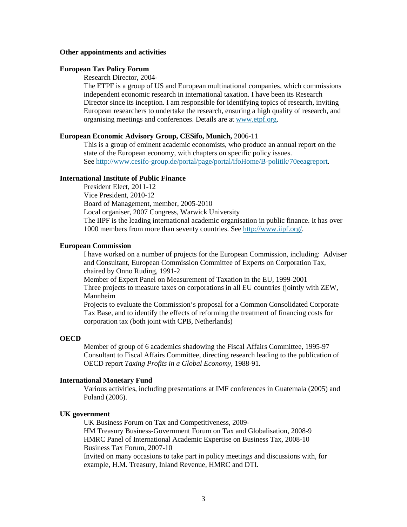#### **Other appointments and activities**

#### **European Tax Policy Forum**

Research Director, 2004-

The ETPF is a group of US and European multinational companies, which commissions independent economic research in international taxation. I have been its Research Director since its inception. I am responsible for identifying topics of research, inviting European researchers to undertake the research, ensuring a high quality of research, and organising meetings and conferences. Details are at [www.etpf.org.](http://www.etpf.org/)

#### **European Economic Advisory Group, CESifo, Munich,** 2006-11

This is a group of eminent academic economists, who produce an annual report on the state of the European economy, with chapters on specific policy issues. See [http://www.cesifo-group.de/portal/page/portal/ifoHome/B-politik/70eeagreport.](http://www.cesifo-group.de/portal/page/portal/ifoHome/B-politik/70eeagreport)

## **International Institute of Public Finance**

President Elect, 2011-12 Vice President, 2010-12 Board of Management, member, 2005-2010 Local organiser, 2007 Congress, Warwick University The IIPF is the leading international academic organisation in public finance. It has over 1000 members from more than seventy countries. See [http://www.iipf.org/.](http://www.iipf.org/)

## **European Commission**

I have worked on a number of projects for the European Commission, including: Adviser and Consultant, European Commission Committee of Experts on Corporation Tax, chaired by Onno Ruding, 1991-2

Member of Expert Panel on Measurement of Taxation in the EU, 1999-2001 Three projects to measure taxes on corporations in all EU countries (jointly with ZEW, Mannheim

Projects to evaluate the Commission's proposal for a Common Consolidated Corporate Tax Base, and to identify the effects of reforming the treatment of financing costs for corporation tax (both joint with CPB, Netherlands)

#### **OECD**

Member of group of 6 academics shadowing the Fiscal Affairs Committee, 1995-97 Consultant to Fiscal Affairs Committee, directing research leading to the publication of OECD report *Taxing Profits in a Global Economy*, 1988-91*.*

#### **International Monetary Fund**

Various activities, including presentations at IMF conferences in Guatemala (2005) and Poland (2006).

#### **UK government**

UK Business Forum on Tax and Competitiveness, 2009- HM Treasury Business-Government Forum on Tax and Globalisation, 2008-9 HMRC Panel of International Academic Expertise on Business Tax, 2008-10 Business Tax Forum, 2007-10 Invited on many occasions to take part in policy meetings and discussions with, for example, H.M. Treasury, Inland Revenue, HMRC and DTI.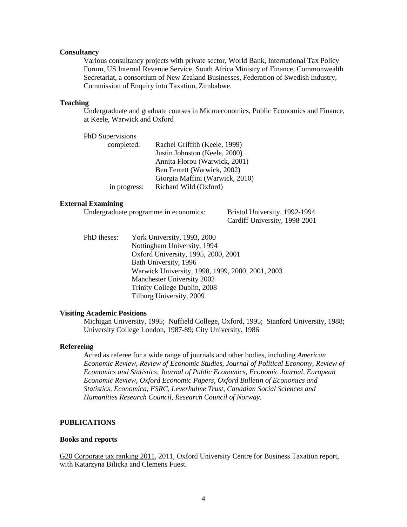#### **Consultancy**

Various consultancy projects with private sector, World Bank, International Tax Policy Forum, US Internal Revenue Service, South Africa Ministry of Finance, Commonwealth Secretariat, a consortium of New Zealand Businesses, Federation of Swedish Industry, Commission of Enquiry into Taxation, Zimbabwe.

# **Teaching**

Undergraduate and graduate courses in Microeconomics, Public Economics and Finance, at Keele, Warwick and Oxford

| Rachel Griffith (Keele, 1999)   |
|---------------------------------|
| Justin Johnston (Keele, 2000)   |
| Annita Florou (Warwick, 2001)   |
| Ben Ferrett (Warwick, 2002)     |
| Giorgia Maffini (Warwick, 2010) |
| Richard Wild (Oxford)           |
|                                 |

#### **External Examining**

Undergraduate programme in economics: Bristol University, 1992-1994

Cardiff University, 1998-2001

PhD theses: York University, 1993, 2000 Nottingham University, 1994 Oxford University, 1995, 2000, 2001 Bath University, 1996 Warwick University, 1998, 1999, 2000, 2001, 2003 Manchester University 2002 Trinity College Dublin, 2008 Tilburg University, 2009

### **Visiting Academic Positions**

Michigan University, 1995; Nuffield College, Oxford, 1995; Stanford University, 1988; University College London, 1987-89; City University, 1986

#### **Refereeing**

Acted as referee for a wide range of journals and other bodies, including *American Economic Review*, *Review of Economic Studies*, *Journal of Political Economy, Review of Economics and Statistics, Journal of Public Economics, Economic Journal, European Economic Review, Oxford Economic Papers, Oxford Bulletin of Economics and Statistics, Economica, ESRC, Leverhulme Trust, Canadian Social Sciences and Humanities Research Council, Research Council of Norway.* 

# **PUBLICATIONS**

#### **Books and reports**

G20 Corporate tax ranking 2011, 2011, Oxford University Centre for Business Taxation report, with Katarzyna Bilicka and Clemens Fuest.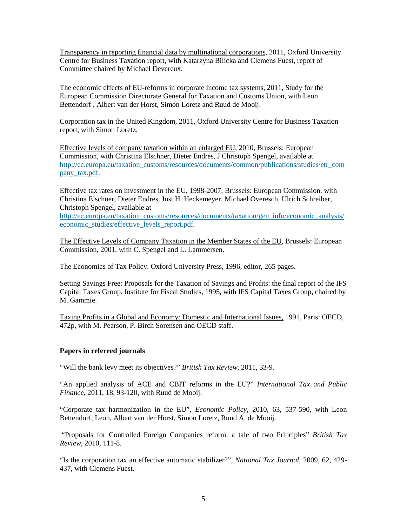Transparency in reporting financial data by multinational corporations, 2011, Oxford University Centre for Business Taxation report, with Katarzyna Bilicka and Clemens Fuest, report of Committee chaired by Michael Devereux.

The economic effects of EU-reforms in corporate income tax systems, 2011, Study for the European Commission Directorate General for Taxation and Customs Union, with Leon Bettendorf , Albert van der Horst, Simon Loretz and Ruud de Mooij.

Corporation tax in the United Kingdom, 2011, Oxford University Centre for Business Taxation report, with Simon Loretz.

Effective levels of company taxation within an enlarged EU, 2010, Brussels: European Commission, with Christina Elschner, Dieter Endres, J Christoph Spengel, available at [http://ec.europa.eu/taxation\\_customs/resources/documents/common/publications/studies/etr\\_com](http://ec.europa.eu/taxation_customs/resources/documents/common/publications/studies/etr_company_tax.pdf) [pany\\_tax.pdf.](http://ec.europa.eu/taxation_customs/resources/documents/common/publications/studies/etr_company_tax.pdf)

Effective tax rates on investment in the EU, 1998-2007, Brussels: European Commission, with Christina Elschner, Dieter Endres, Jost H. Heckemeyer, Michael Overesch, Ulrich Schreiber, Christoph Spengel, available at

[http://ec.europa.eu/taxation\\_customs/resources/documents/taxation/gen\\_info/economic\\_analysis/](http://ec.europa.eu/taxation_customs/resources/documents/taxation/gen_info/economic_analysis/economic_studies/effective_levels_report.pdf) [economic\\_studies/effective\\_levels\\_report.pdf.](http://ec.europa.eu/taxation_customs/resources/documents/taxation/gen_info/economic_analysis/economic_studies/effective_levels_report.pdf)

The Effective Levels of Company Taxation in the Member States of the EU, Brussels: European Commission, 2001, with C. Spengel and L. Lammersen.

The Economics of Tax Policy. Oxford University Press, 1996, editor, 265 pages.

Setting Savings Free: Proposals for the Taxation of Savings and Profits: the final report of the IFS Capital Taxes Group. Institute for Fiscal Studies, 1995, with IFS Capital Taxes Group, chaired by M. Gammie.

Taxing Profits in a Global and Economy: Domestic and International Issues, 1991, Paris: OECD, 472p, with M. Pearson, P. Birch Sorensen and OECD staff.

# **Papers in refereed journals**

"Will the bank levy meet its objectives?" *British Tax Review*, 2011, 33-9.

"An applied analysis of ACE and CBIT reforms in the EU?" *International Tax and Public Finance*, 2011, 18, 93-120, with Ruud de Mooij.

"Corporate tax harmonization in the EU", *Economic Policy*, 2010, 63*,* 537-590, with Leon Bettendorf, Leon, Albert van der Horst, Simon Loretz, Ruud A. de Mooij.

"Proposals for Controlled Foreign Companies reform: a tale of two Principles" *British Tax Review*, 2010, 111-8.

"Is the corporation tax an effective automatic stabilizer?", *National Tax Journal*, 2009, 62, 429- 437, with Clemens Fuest.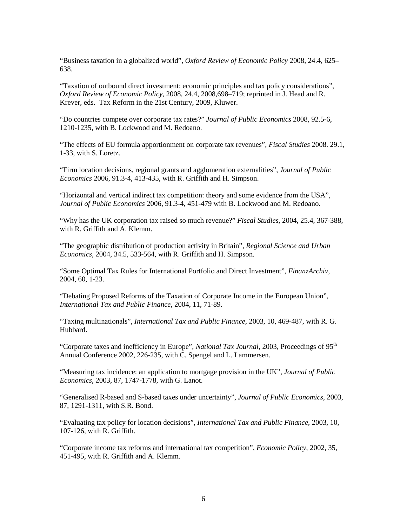"Business taxation in a globalized world", *Oxford Review of Economic Policy* 2008, 24.4, 625– 638.

"Taxation of outbound direct investment: economic principles and tax policy considerations", *Oxford Review of Economic Policy*, 2008, 24.4, 2008,698–719; reprinted in J. Head and R. Krever, eds. Tax Reform in the 21st Century, 2009, Kluwer.

"Do countries compete over corporate tax rates?" *Journal of Public Economics* 2008, 92.5-6, 1210-1235, with B. Lockwood and M. Redoano.

"The effects of EU formula apportionment on corporate tax revenues", *Fiscal Studies* 2008. 29.1, 1-33, with S. Loretz.

"Firm location decisions, regional grants and agglomeration externalities", *Journal of Public Economics* 2006, 91.3-4, 413-435, with R. Griffith and H. Simpson.

"Horizontal and vertical indirect tax competition: theory and some evidence from the USA", *Journal of Public Economics* 2006, 91.3-4, 451-479 with B. Lockwood and M. Redoano.

"Why has the UK corporation tax raised so much revenue?" *Fiscal Studies*, 2004, 25.4, 367-388, with R. Griffith and A. Klemm.

"The geographic distribution of production activity in Britain", *Regional Science and Urban Economics*, 2004, 34.5, 533-564, with R. Griffith and H. Simpson.

"Some Optimal Tax Rules for International Portfolio and Direct Investment", *FinanzArchiv*, 2004, 60, 1-23.

"Debating Proposed Reforms of the Taxation of Corporate Income in the European Union", *International Tax and Public Finance*, 2004, 11, 71-89.

"Taxing multinationals", *International Tax and Public Finance*, 2003, 10, 469-487, with R. G. Hubbard.

"Corporate taxes and inefficiency in Europe", *National Tax Journal*, 2003, Proceedings of 95<sup>th</sup> Annual Conference 2002, 226-235, with C. Spengel and L. Lammersen.

"Measuring tax incidence: an application to mortgage provision in the UK", *Journal of Public Economics*, 2003, 87, 1747-1778, with G. Lanot.

"Generalised R-based and S-based taxes under uncertainty", *Journal of Public Economics*, 2003, 87, 1291-1311, with S.R. Bond.

"Evaluating tax policy for location decisions", *International Tax and Public Finance*, 2003, 10, 107-126, with R. Griffith.

"Corporate income tax reforms and international tax competition", *Economic Policy*, 2002, 35, 451-495, with R. Griffith and A. Klemm.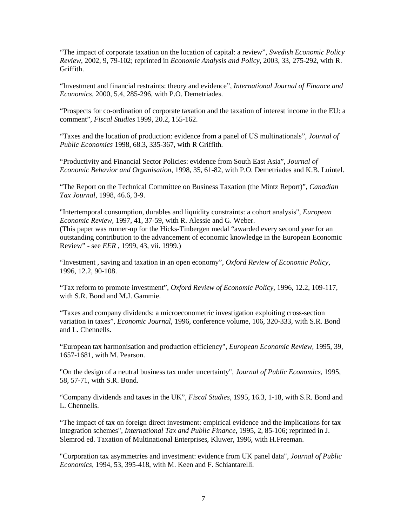"The impact of corporate taxation on the location of capital: a review", *Swedish Economic Policy Review*, 2002, 9, 79-102; reprinted in *Economic Analysis and Policy*, 2003, 33, 275-292, with R. Griffith.

"Investment and financial restraints: theory and evidence", *International Journal of Finance and Economics*, 2000, 5.4, 285-296, with P.O. Demetriades.

"Prospects for co-ordination of corporate taxation and the taxation of interest income in the EU: a comment", *Fiscal Studies* 1999, 20.2, 155-162.

"Taxes and the location of production: evidence from a panel of US multinationals", *Journal of Public Economics* 1998, 68.3, 335-367, with R Griffith.

"Productivity and Financial Sector Policies: evidence from South East Asia", *Journal of Economic Behavior and Organisation*, 1998, 35, 61-82, with P.O. Demetriades and K.B. Luintel.

"The Report on the Technical Committee on Business Taxation (the Mintz Report)", *Canadian Tax Journal*, 1998, 46.6, 3-9.

"Intertemporal consumption, durables and liquidity constraints: a cohort analysis", *European Economic Review,* 1997, 41, 37-59, with R. Alessie and G. Weber. (This paper was runner-up for the Hicks-Tinbergen medal "awarded every second year for an outstanding contribution to the advancement of economic knowledge in the European Economic Review" - see *EER* , 1999, 43, vii. 1999.)

"Investment , saving and taxation in an open economy", *Oxford Review of Economic Policy*, 1996, 12.2, 90-108.

"Tax reform to promote investment", *Oxford Review of Economic Policy,* 1996, 12.2, 109-117, with S.R. Bond and M.J. Gammie.

"Taxes and company dividends: a microeconometric investigation exploiting cross-section variation in taxes", *Economic Journal*, 1996, conference volume, 106, 320-333, with S.R. Bond and L. Chennells.

"European tax harmonisation and production efficiency", *European Economic Review,* 1995, 39, 1657-1681, with M. Pearson.

"On the design of a neutral business tax under uncertainty", *Journal of Public Economics*, 1995, 58, 57-71, with S.R. Bond.

"Company dividends and taxes in the UK", *Fiscal Studies*, 1995, 16.3, 1-18, with S.R. Bond and L. Chennells.

"The impact of tax on foreign direct investment: empirical evidence and the implications for tax integration schemes", *International Tax and Public Finance*, 1995, 2, 85-106; reprinted in J. Slemrod ed. Taxation of Multinational Enterprises, Kluwer, 1996, with H.Freeman.

"Corporation tax asymmetries and investment: evidence from UK panel data", *Journal of Public Economics*, 1994, 53, 395-418, with M. Keen and F. Schiantarelli.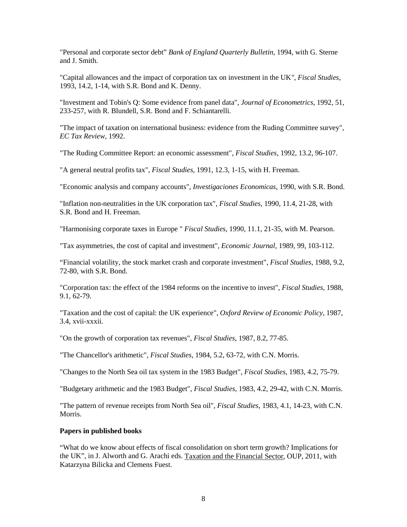"Personal and corporate sector debt" *Bank of England Quarterly Bulletin*, 1994, with G. Sterne and J. Smith.

"Capital allowances and the impact of corporation tax on investment in the UK*", Fiscal Studies*, 1993, 14.2, 1-14, with S.R. Bond and K. Denny.

"Investment and Tobin's Q: Some evidence from panel data", *Journal of Econometrics*, 1992, 51, 233-257, with R. Blundell, S.R. Bond and F. Schiantarelli.

"The impact of taxation on international business: evidence from the Ruding Committee survey", *EC Tax Review*, 1992.

"The Ruding Committee Report: an economic assessment", *Fiscal Studies*, 1992, 13.2, 96-107.

"A general neutral profits tax", *Fiscal Studies*, 1991, 12.3, 1-15, with H. Freeman.

"Economic analysis and company accounts", *Investigaciones Economicas*, 1990, with S.R. Bond.

"Inflation non-neutralities in the UK corporation tax", *Fiscal Studies*, 1990, 11.4, 21-28, with S.R. Bond and H. Freeman.

"Harmonising corporate taxes in Europe " *Fiscal Studies*, 1990, 11.1, 21-35, with M. Pearson.

"Tax asymmetries, the cost of capital and investment", *Economic Journal*, 1989, 99, 103-112.

"Financial volatility, the stock market crash and corporate investment", *Fiscal Studies*, 1988, 9.2, 72-80, with S.R. Bond.

"Corporation tax: the effect of the 1984 reforms on the incentive to invest", *Fiscal Studies*, 1988, 9.1, 62-79.

"Taxation and the cost of capital: the UK experience", *Oxford Review of Economic Policy*, 1987, 3.4, xvii-xxxii.

"On the growth of corporation tax revenues", *Fiscal Studies*, 1987, 8.2, 77-85.

"The Chancellor's arithmetic", *Fiscal Studies*, 1984, 5.2, 63-72, with C.N. Morris.

"Changes to the North Sea oil tax system in the 1983 Budget", *Fiscal Studies*, 1983, 4.2, 75-79.

"Budgetary arithmetic and the 1983 Budget", *Fiscal Studies*, 1983, 4.2, 29-42, with C.N. Morris.

"The pattern of revenue receipts from North Sea oil", *Fiscal Studies*, 1983, 4.1, 14-23, with C.N. Morris.

## **Papers in published books**

"What do we know about effects of fiscal consolidation on short term growth? Implications for the UK", in J. Alworth and G. Arachi eds. Taxation and the Financial Sector, OUP, 2011, with Katarzyna Bilicka and Clemens Fuest.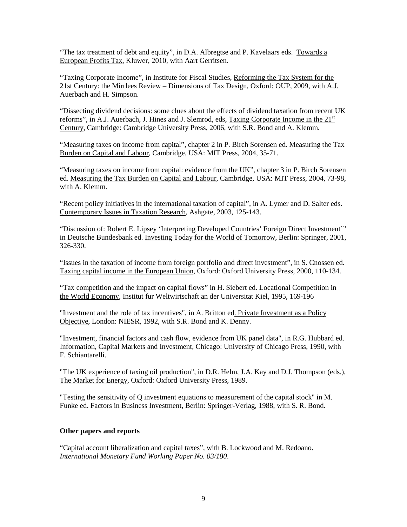"The tax treatment of debt and equity", in D.A. Albregtse and P. Kavelaars eds. Towards a European Profits Tax, Kluwer, 2010, with Aart Gerritsen.

"Taxing Corporate Income", in Institute for Fiscal Studies, Reforming the Tax System for the 21st Century: the Mirrlees Review – Dimensions of Tax Design, Oxford: OUP, 2009, with A.J. Auerbach and H. Simpson.

"Dissecting dividend decisions: some clues about the effects of dividend taxation from recent UK reforms", in A.J. Auerbach, J. Hines and J. Slemrod, eds, Taxing Corporate Income in the  $21<sup>st</sup>$ Century, Cambridge: Cambridge University Press, 2006, with S.R. Bond and A. Klemm.

"Measuring taxes on income from capital", chapter 2 in P. Birch Sorensen ed. Measuring the Tax Burden on Capital and Labour, Cambridge, USA: MIT Press, 2004, 35-71.

"Measuring taxes on income from capital: evidence from the UK", chapter 3 in P. Birch Sorensen ed. Measuring the Tax Burden on Capital and Labour, Cambridge, USA: MIT Press, 2004, 73-98, with A. Klemm.

"Recent policy initiatives in the international taxation of capital", in A. Lymer and D. Salter eds. Contemporary Issues in Taxation Research, Ashgate, 2003, 125-143.

"Discussion of: Robert E. Lipsey 'Interpreting Developed Countries' Foreign Direct Investment'" in Deutsche Bundesbank ed. Investing Today for the World of Tomorrow, Berlin: Springer, 2001, 326-330.

"Issues in the taxation of income from foreign portfolio and direct investment", in S. Cnossen ed. Taxing capital income in the European Union, Oxford: Oxford University Press, 2000, 110-134.

"Tax competition and the impact on capital flows" in H. Siebert ed. Locational Competition in the World Economy, Institut fur Weltwirtschaft an der Universitat Kiel, 1995, 169-196

"Investment and the role of tax incentives", in A. Britton ed. Private Investment as a Policy Objective, London: NIESR, 1992, with S.R. Bond and K. Denny.

"Investment, financial factors and cash flow, evidence from UK panel data", in R.G. Hubbard ed. Information, Capital Markets and Investment, Chicago: University of Chicago Press, 1990, with F. Schiantarelli.

"The UK experience of taxing oil production", in D.R. Helm, J.A. Kay and D.J. Thompson (eds.), The Market for Energy, Oxford: Oxford University Press, 1989.

"Testing the sensitivity of Q investment equations to measurement of the capital stock" in M. Funke ed. Factors in Business Investment, Berlin: Springer-Verlag, 1988, with S. R. Bond.

# **Other papers and reports**

"Capital account liberalization and capital taxes", with B. Lockwood and M. Redoano. *International Monetary Fund Working Paper No. 03/180*.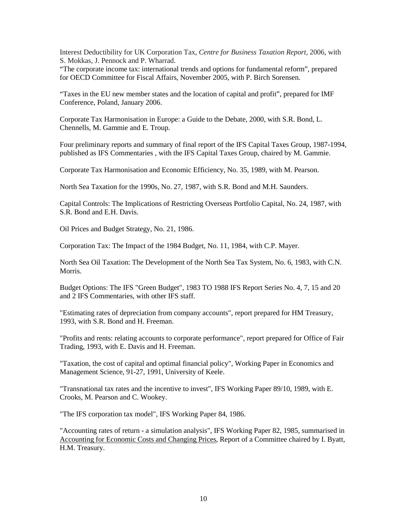Interest Deductibility for UK Corporation Tax, *Centre for Business Taxation Report*, 2006, with S. Mokkas, J. Pennock and P. Wharrad.

"The corporate income tax: international trends and options for fundamental reform", prepared for OECD Committee for Fiscal Affairs, November 2005, with P. Birch Sorensen.

"Taxes in the EU new member states and the location of capital and profit", prepared for IMF Conference, Poland, January 2006.

Corporate Tax Harmonisation in Europe: a Guide to the Debate, 2000, with S.R. Bond, L. Chennells, M. Gammie and E. Troup.

Four preliminary reports and summary of final report of the IFS Capital Taxes Group, 1987-1994, published as IFS Commentaries , with the IFS Capital Taxes Group, chaired by M. Gammie.

Corporate Tax Harmonisation and Economic Efficiency, No. 35, 1989, with M. Pearson.

North Sea Taxation for the 1990s, No. 27, 1987, with S.R. Bond and M.H. Saunders.

Capital Controls: The Implications of Restricting Overseas Portfolio Capital, No. 24, 1987, with S.R. Bond and E.H. Davis.

Oil Prices and Budget Strategy, No. 21, 1986.

Corporation Tax: The Impact of the 1984 Budget, No. 11, 1984, with C.P. Mayer.

North Sea Oil Taxation: The Development of the North Sea Tax System, No. 6, 1983, with C.N. Morris.

Budget Options: The IFS "Green Budget", 1983 TO 1988 IFS Report Series No. 4, 7, 15 and 20 and 2 IFS Commentaries, with other IFS staff.

"Estimating rates of depreciation from company accounts", report prepared for HM Treasury, 1993, with S.R. Bond and H. Freeman.

"Profits and rents: relating accounts to corporate performance", report prepared for Office of Fair Trading, 1993, with E. Davis and H. Freeman.

"Taxation, the cost of capital and optimal financial policy", Working Paper in Economics and Management Science, 91-27, 1991, University of Keele.

"Transnational tax rates and the incentive to invest", IFS Working Paper 89/10, 1989, with E. Crooks, M. Pearson and C. Wookey.

"The IFS corporation tax model", IFS Working Paper 84, 1986.

"Accounting rates of return - a simulation analysis", IFS Working Paper 82, 1985, summarised in Accounting for Economic Costs and Changing Prices, Report of a Committee chaired by I. Byatt, H.M. Treasury.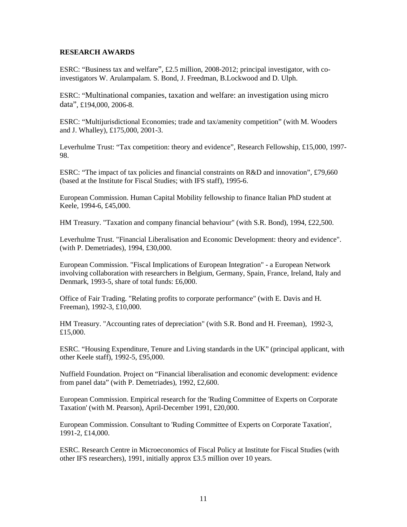## **RESEARCH AWARDS**

ESRC: "Business tax and welfare", £2.5 million, 2008-2012; principal investigator, with coinvestigators W. Arulampalam. S. Bond, J. Freedman, B.Lockwood and D. Ulph.

ESRC: "Multinational companies, taxation and welfare: an investigation using micro data", £194,000, 2006-8.

ESRC: "Multijurisdictional Economies; trade and tax/amenity competition" (with M. Wooders and J. Whalley), £175,000, 2001-3.

Leverhulme Trust: "Tax competition: theory and evidence", Research Fellowship, £15,000, 1997- 98.

ESRC: "The impact of tax policies and financial constraints on R&D and innovation", £79,660 (based at the Institute for Fiscal Studies; with IFS staff), 1995-6.

European Commission. Human Capital Mobility fellowship to finance Italian PhD student at Keele, 1994-6, £45,000.

HM Treasury. "Taxation and company financial behaviour" (with S.R. Bond), 1994, £22,500.

Leverhulme Trust. "Financial Liberalisation and Economic Development: theory and evidence". (with P. Demetriades), 1994, £30,000.

European Commission. "Fiscal Implications of European Integration" - a European Network involving collaboration with researchers in Belgium, Germany, Spain, France, Ireland, Italy and Denmark, 1993-5, share of total funds: £6,000.

Office of Fair Trading. "Relating profits to corporate performance" (with E. Davis and H. Freeman), 1992-3, £10,000.

HM Treasury. "Accounting rates of depreciation" (with S.R. Bond and H. Freeman), 1992-3, £15,000.

ESRC. "Housing Expenditure, Tenure and Living standards in the UK" (principal applicant, with other Keele staff), 1992-5, £95,000.

Nuffield Foundation. Project on "Financial liberalisation and economic development: evidence from panel data" (with P. Demetriades), 1992, £2,600.

European Commission. Empirical research for the 'Ruding Committee of Experts on Corporate Taxation' (with M. Pearson), April-December 1991, £20,000.

European Commission. Consultant to 'Ruding Committee of Experts on Corporate Taxation', 1991-2, £14,000.

ESRC. Research Centre in Microeconomics of Fiscal Policy at Institute for Fiscal Studies (with other IFS researchers), 1991, initially approx £3.5 million over 10 years.